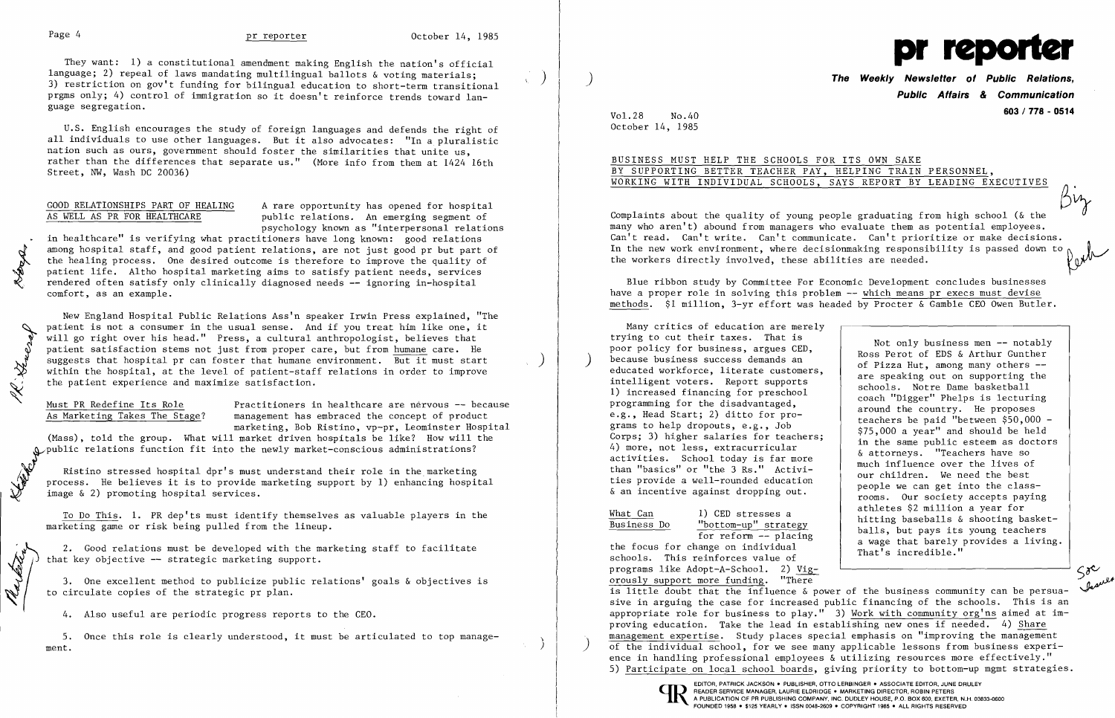12008

R. Gueray

They want: 1) a constitutional amendment making English the nation's official language; 2) repeal of laws mandating multilingual ballots & voting materials; 3) restriction on gov't funding for bilingual education to short-term transitional prgms only; 4) control of immigration so it doesn't reinforce trends toward language segregation.

GOOD RELATIONSHIPS PART OF HEALING A rare opportunity has opened for hospital as WELL AS PR FOR HEALTHCARE public relations. An emerging segment of public relations. An emerging segment of psychology known as "interpersonal relations

U.S. English encourages the study of foreign languages and defends the right of all individuals to use other languages. But it also advocates: "In a pluralistic nation such as ours, government should foster the similarities that unite us, rather than the differences that separate us." (More info from them at 1424 16th Street, NW, Wash DC 20036)

<u>Must PR Redefine Its Role</u> Practitioners in healthcare are nervous  $-$  because As Marketing Takes The Stage? management has embraced the concept of product management has embraced the concept of product marketing, Bob Ristino, vp-pr, Leominster Hospital

(Mass), told the group. What will market driven hospitals be like? How will the public relations function fit into the newly market-conscious administrations?

in healthcare" is verifying what practitioners have long known: good relations among hospital staff, and good patient relations, are not just good pr but part of the healing process. One desired outcome is therefore to improve the quality of patient life. Altho hospital marketing aims to satisfy patient needs, services rendered often satisfy only clinically diagnosed needs -- ignoring in-hospital comfort, as an example.

Ristino stressed hospital dpr's must understand their role in the marketing . process. He believes it is to provide marketing support by 1) enhancing hospital . image & 2) promoting hospital services.

2. Good relations must be developed with the marketing staff to facilitate that key objective -- strategic marketing support.

**The Weekly Newsletter of Public Relations. Public Affairs & Communication 603 / 778 - <sup>0514</sup>** Vol.28 No.40

|  | )R ITS OWN SAKE |  |                          |                                   |
|--|-----------------|--|--------------------------|-----------------------------------|
|  |                 |  | HELPING TRAIN PERSONNEL, |                                   |
|  |                 |  |                          | SAYS REPORT BY LEADING EXECUTIVES |

New England Hospital Public Relations Ass'n speaker Irwin Press explained, "The patient is not a consumer in the usual sense. And if you treat him like one, it will go right over his head." Press, a cultural anthropologist, believes that patient satisfaction stems not just from proper care, but from humane care. He suggests that hospital pr can foster that humane environment. But it must start within the hospital, at the level of patient-staff relations in order to improve the patient experience and maximize satisfaction.

To Do This. 1. PR dep'ts must identify themselves as valuable players in the marketing game or risk being pulled from the lineup.

3. One excellent method to publicize public relations' goals & objectives is to circulate copies of the strategic pr plan.

4. Also useful are periodic progress reports to the CEO.

5. Once this role is clearly understood, it must be articulated to top management. The contract of the contract of the contract of the contract of the contract of the contract of the contract of the contract of the contract of the contract of the contract of the contract of the contract of the cont



October 14, 1985

## BUSINESS MUST HELP THE SCHOOLS FO BY SUPPORTING BETTER TEACHER PAY, WORKING WITH INDIVIDUAL SCHOOLS,

Complaints about the quality of young people graduating from high school ( $\&$  the many who aren't) abound from managers who evaluate them as potential employees. Can't read. Can't write. Can't communicate. Can't prioritize or make decisions. In the new work environment, where decisionmaking responsibility is passed down to the workers directly involved, these abilities are needed.

> Not only business men -- notably Ross Perot of EDS & Arthur Gunther of Pizza Hut, among many others are speaking out on supporting the schools. Notre Dame basketball coach "Digger" Phelps is lecturing around the country. He proposes teachers be paid "between \$50,000 \$75,000 a year" and should be held in the same public esteem as doctors & attorneys. "Teachers have so much influence over the lives of our children. We need the best people we can get into the classrooms. Our society accepts paying athletes \$2 million a year for hitting baseballs & shooting basketballs, but pays its young teachers a wage that barely provides a living.

 $5^{\circ}$ 

j

Blue ribbon study by Committee For Economic Development concludes businesses have a proper role in solving this problem -- which means pr execs must devise methods. \$1 million, 3-yr effort was headed by Procter & Gamble CEO Owen Butler.

Many critics of education are merely trying to cut their taxes. That is poor policy for business, argues CED, because business success demands an educated workforce, literate customers, intelligent voters. Report supports 1) increased financing for preschool programming for the disadvantaged, e.g., Head Start; 2) ditto for programs to help dropouts, e.g., Job Corps; 3) higher salaries for teachers; 4) more, not less, extracurricular activities. School today is far more than "basics" or "the 3 Rs." Activities provide a well-rounded education & an incentive against dropping out.

What Can 1) CED stresses a

Business Do "bottom-up" strategy for reform -- placing

the focus for change on individual schools. This reinforces value of programs like Adopt-A-School. 2) Vigorously support more funding. "There is little doubt that the influence & power of the business community can be persuasive in arguing the case for increased public financing of the schools. This is an appropriate role for business to play." 3) Work with community org'ns aimed at improving education. Take the lead in establishing new ones if needed. 4) Share management expertise. Study places special emphasis on "improving the management<br>of the individual school, for we see many applicable lessons from business experience in handling professional employees & utilizing resources more effectively." 5) Participate on local school boards, giving priority to bottom-up mgmt strategies. That's incredible."